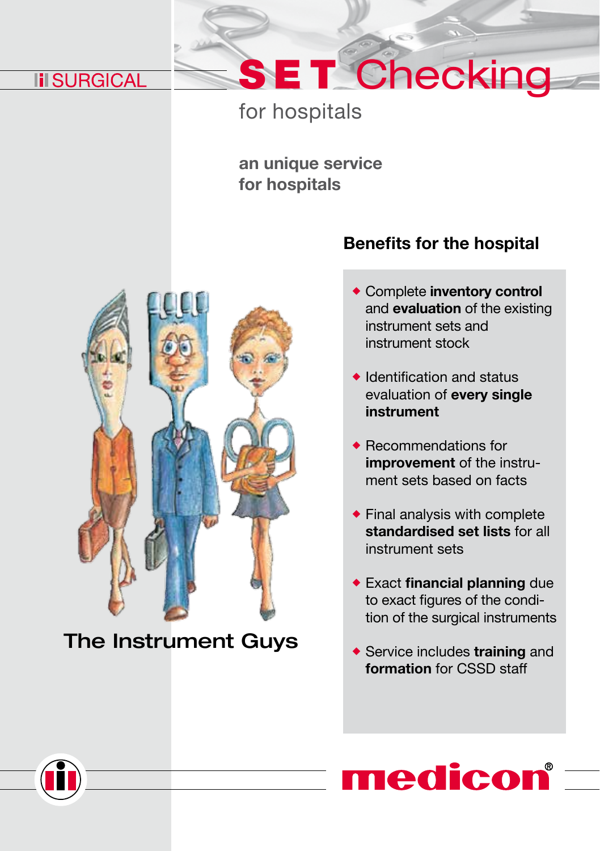## **III SURGICAL**

## for hospitals

an unique service for hospitals



## The Instrument Guys

### Benefits for the hospital

SET Checking

- Complete inventory control and evaluation of the existing instrument sets and instrument stock
- $\bullet$  Identification and status evaluation of every single instrument
- ◆ Recommendations for improvement of the instrument sets based on facts
- Final analysis with complete standardised set lists for all instrument sets
- Exact financial planning due to exact figures of the condition of the surgical instruments
- ◆ Service includes training and formation for CSSD staff



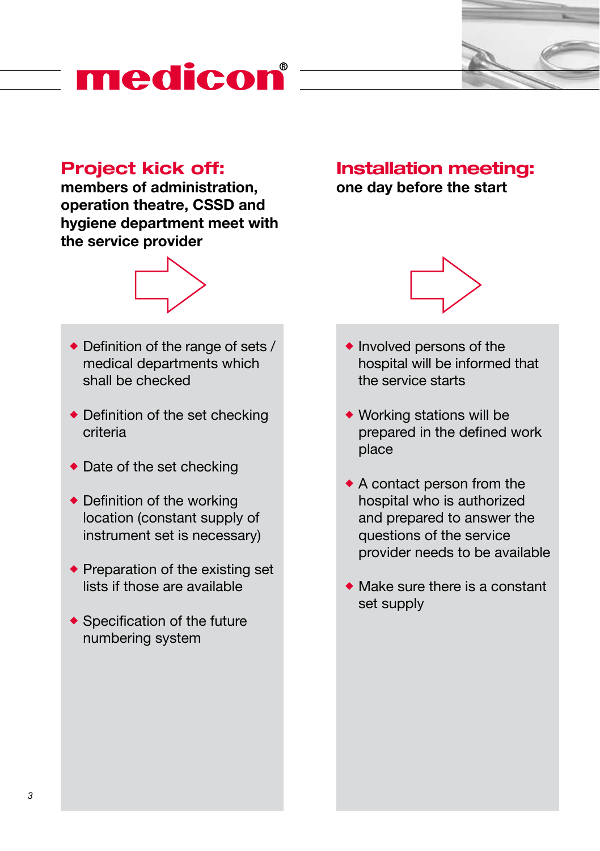# medicon®

### Project kick off:

members of administration, operation theatre, CSSD and hygiene department meet with the service provider



- ◆ Definition of the range of sets / medical departments which shall be checked
- ◆ Definition of the set checking criteria
- ◆ Date of the set checking
- ◆ Definition of the working location (constant supply of instrument set is necessary)
- $\bullet$  Preparation of the existing set lists if those are available
- ◆ Specification of the future numbering system

#### Installation meeting: one day before the start

- $\bullet$  Involved persons of the hospital will be informed that the service starts
- Working stations will be prepared in the defined work place
- A contact person from the hospital who is authorized and prepared to answer the questions of the service provider needs to be available
- Make sure there is a constant set supply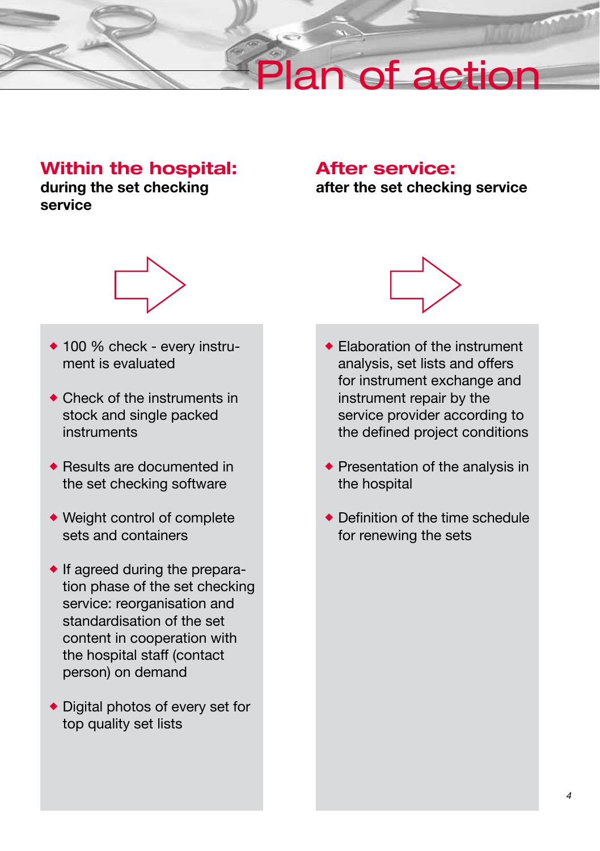# lan of action

### Within the hospital:

during the set checking service

### After service: after the set checking service



- ◆ 100 % check every instrument is evaluated
- ◆ Check of the instruments in stock and single packed instruments
- ◆ Results are documented in the set checking software
- Weight control of complete sets and containers
- $\bullet$  If agreed during the preparation phase of the set checking service: reorganisation and standardisation of the set content in cooperation with the hospital staff (contact person) on demand
- ◆ Digital photos of every set for top quality set lists



- ◆ Flaboration of the instrument analysis, set lists and offers for instrument exchange and instrument repair by the service provider according to the defined project conditions
- Presentation of the analysis in the hospital
- ◆ Definition of the time schedule for renewing the sets